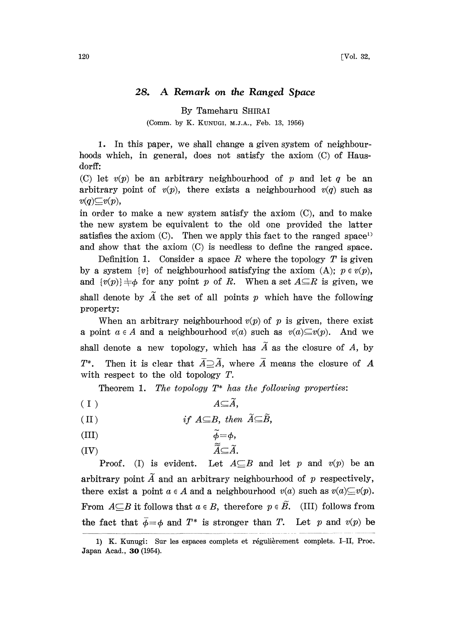## 28. A Remark on the Ranged Space

By Tameharu SHIRAI

(Comm. by K. KUNUGI, M.J.A., Feb. 13, 1956)

1. In this paper, we shall change a given system of neighbourhoods which, in general, does not satisfy the axiom (C) of Hausdorff

(C) let  $v(p)$  be an arbitrary neighbourhood of p and let q be an arbitrary point of  $v(p)$ , there exists a neighbourhood  $v(q)$  such as  $v(q) \subseteq v(p)$ ,

in order to make a new system satisfy the axiom (C), and to make the new system be equivalent to the old one provided the latter satisfies the axiom  $(C)$ . Then we apply this fact to the ranged space<sup>1</sup> and show that the axiom (C) is needless to define the ranged space.

Definition 1. Consider a space R where the topology  $T$  is given by a system  $\{v\}$  of neighbourhood satisfying the axiom (A);  $p \in v(p)$ , and  $\{v(p)\}\neq\emptyset$  for any point p of R. When a set  $A\subseteq R$  is given, we shall denote by  $\tilde{A}$  the set of all points p which have the following property:

When an arbitrary neighbourhood  $v(p)$  of p is given, there exist a point  $a \in A$  and a neighbourhood  $v(a)$  such as  $v(a) \subseteq v(p)$ . And we shall denote a new topology, which has  $\tilde{A}$  as the closure of A, by  $T^*$ . Then it is clear that  $\overline{A} \supseteq \widetilde{A}$ , where  $\overline{A}$  means the closure of A with respect to the old topology T.

Theorem 1. The topology  $T^*$  has the following properties:

(I) AA,

(II) if 
$$
A \subseteq B
$$
, then  $\widetilde{A} \subseteq \widetilde{B}$ ,

(III) 
$$
\widetilde{\phi} = \phi
$$

(IV)  $\widetilde{\tilde{A}} \subseteq \tilde{A}$ .

Proof. (I) is evident. Let  $A \subseteq B$  and let p and  $v(p)$  be an arbitrary point  $\tilde{A}$  and an arbitrary neighbourhood of p respectively, there exist a point  $a \in A$  and a neighbourhood  $v(a)$  such as  $v(a) \subseteq v(p)$ . From  $A \subseteq B$  it follows that  $a \in B$ , therefore  $p \in \widetilde{B}$ . (III) follows from the fact that  $\bar{\phi} = \phi$  and  $T^*$  is stronger than T. Let p and  $v(p)$  be

<sup>1)</sup> K. Kunugi: Sur les espaces complets et régulièrement complets. I-II, Proc. Japan Acad., 30 (1954).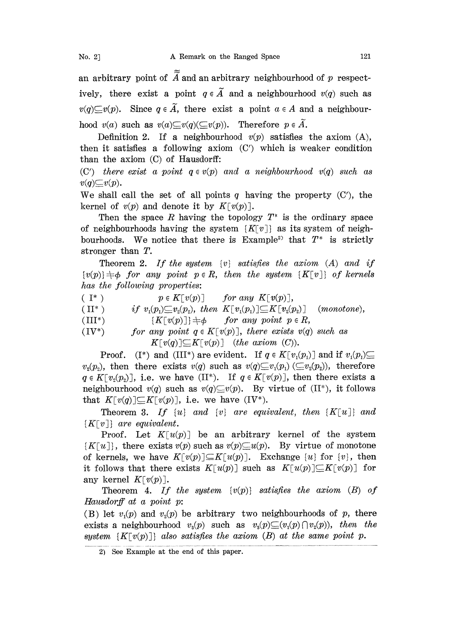an arbitrary point of  $\widetilde{A}$  and an arbitrary neighbourhood of p respectively, there exist a point  $q \in \tilde{A}$  and a neighbourhood  $v(q)$  such as  $v(q) \subseteq v(p)$ . Since  $q \in \tilde{A}$ , there exist a point  $a \in A$  and a neighbourhood  $v(a)$  such as  $v(a) \subseteq v(q) (\subseteq v(p))$ . Therefore  $p \in A$ .

Definition 2. If a neighbourhood  $v(p)$  satisfies the axiom  $(A)$ , then it satisfies a following axiom (C') which is weaker condition han the axiom (C) of Hausdorff:

(C') there exist a point  $q \in v(p)$  and a neighbourhood  $v(q)$  such as  $v(q) \subseteq v(p)$ .

We shall call the set of all points q having the property  $(C')$ , the kernel of  $v(p)$  and denote it by  $K[v(p)]$ .

Then the space R having the topology  $T^*$  is the ordinary space of neighbourhoods having the system  $\{K\lceil v \rceil\}$  as its system of neighbourhoods. We notice that there is  $Example<sup>2</sup>$  that  $T^*$  is strictly stronger than T.

Theorem 2. If the system  $\{v\}$  satisfies the axiom  $(A)$  and if  $\{v(p)\}\neq\phi$  for any point  $p \in R$ , then the system  $\{K[v]\}$  of kernels has the following properties:

( I\* )  $p \in K[v(p)]$  for any  $K[v(p)]$ ,

(II<sup>\*</sup>) if  $v_1(p_1) \subseteq v_2(p_2)$ , then  $K[v_1(p_1)] \subseteq K[v_2(p_2)]$  (monotone),<br>  $\{K[v(p)]\} \neq \emptyset$  for any point  $p \in R$ ,

(IV\*) for any point  $q \in K[v(p)]$ , there exists  $v(q)$  such as  $K[v(q)] \subseteq K[v(p)]$  (the axiom (C)).

**Proof.** (I\*) and (III\*) are evident. If  $q \in K[v_1(p_1)]$  and if  $v_1(p_1) \subseteq$  $v_2(p_2)$ , then there exists  $v(q)$  such as  $v(q) \subseteq v_1(p_1) \subseteq v_2(p_2)$ , therefore  $q \in K[v,(p)]$ , i.e. we have  $(II^*)$ . If  $q \in K[v(p)]$ , then there exists a neighbourhood  $v(q)$  such as  $v(q) \subseteq v(p)$ . By virtue of (II\*), it follows that  $K[v(q)] \subseteq K[v(p)]$ , i.e. we have  $(IV^*)$ .

Theorem 3. If  $\{u\}$  and  $\{v\}$  are equivalent, then  $\{K[u]\}$  and  ${K[v]}$  are equivalent.

Proof. Let  $K[u(p)]$  be an arbitrary kernel of the system  $\{K[u]\}\$ , there exists  $v(p)$  such as  $v(p)\subseteq u(p)$ . By virtue of monotone of kernels, we have  $K[v(p)] \subseteq K[u(p)]$ . Exchange  $\{u\}$  for  $\{v\}$ , then it follows that there exists  $K[u(p)]$  such as  $K[u(p)] \subseteq K[v(p)]$  for any kernel  $K[v(p)]$ .

Theorem 4. If the system  $\{v(p)\}$  satisfies the axiom  $(B)$  of Hausdorff at a point p:

(B) let  $v_i(p)$  and  $v_i(p)$  be arbitrary two neighbourhoods of p, there exists a neighbourhood  $v_s(p)$  such as  $v_s(p) \subseteq (v_t(p) \cap v_s(p))$ , then the system  $\{K[v(p)]\}$  also satisfies the axiom (B) at the same point p.

 $2)$  See Example at the end of this paper.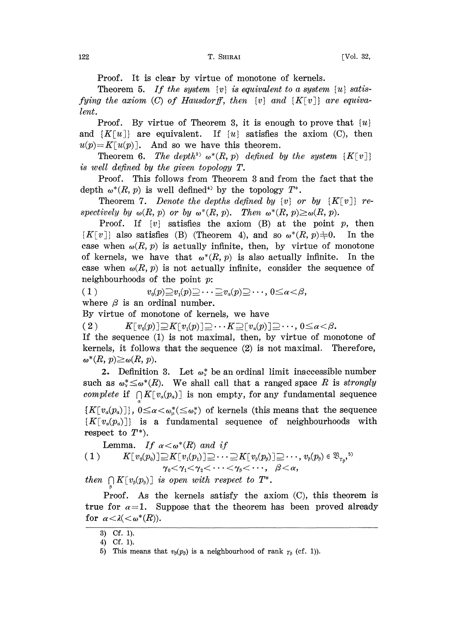Proof. It is clear by virtue of monotone of kernels.

Theorem 5. If the system  $\{v\}$  is equivalent to a system  $\{u\}$  satisfying the axiom  $(C)$  of Hausdorff, then  $\{v\}$  and  $\{K[v]\}$  are equivalent.

Proof. By virtue of Theorem 3, it is enough to prove that  $\{u\}$ and  $\{K[u]\}$  are equivalent. If  $\{u\}$  satisfies the axiom (C), then  $u(p)=K[u(p)]$ . And so we have this theorem.

Theorem 6. The depth<sup>3</sup>  $\omega^*(R, p)$  defined by the system  $\{K[v]\}$ is well defined by the given topology T.

Proof. This follows from Theorem 3 and from the fact that the depth  $\omega^*(R, p)$  is well defined<sup>43</sup> by the topology

Theorem 7. Denote the depths defined by  $\{v\}$  or by  $\{K[v]\}$  respectively by  $\omega(R, p)$  or by  $\omega^*(R, p)$ . Then  $\omega^*(R, p) \ge \omega(R, p)$ .

Proof. If  $\{v\}$  satisfies the axiom (B) at the point p, then  $\{K[v]\}\$  also satisfies (B) (Theorem 4), and so  $\omega^*(R, p) \neq 0$ . In the case when  $\omega(R, p)$  is actually infinite, then, by virtue of monotone of kernels, we have that  $\omega^*(R, p)$  is also actually infinite. In the case when  $\omega(R, p)$  is not actually infinite, consider the sequence of neighbourhoods of the point  $p$ :

(1)  $v_0(p)\supseteq v_1(p)\supseteq\cdots\supseteq v_a(p)\supseteq\cdots, 0\leq a<\beta,$ where  $\beta$  is an ordinal number.

By virtue of monotone of kernels, we have

( 2 )  $K[v_0(p)] \supseteq K[v_1(p)] \supseteq \cdots K \supseteq [v_a(p)] \supseteq \cdots, 0 \le a < \beta.$ 

If the sequence (1) is not maximal, then, by virtue of monotone of kernels, it follows that the sequence (2) is not maximal. Therefore,  $\omega^*(R, p) \ge \omega(R, p).$ 

2. Definition 3. Let  $\omega^*$  be an ordinal limit inaccessible number such as  $\omega^* \leq \omega^*(R)$ . We shall call that a ranged space R is strongly complete if  $\bigcap K[v_a(p_a)]$  is non empty, for any fundamental sequence  ${K[v_a(p_a)]}, 0 \leq \alpha < \omega^*_{\omega}(\leq \omega^*)$  of kernels (this means that the sequence  $\{K[v_{\alpha}(p_{\alpha})]\}$  is a fundamental sequence of neighbourhoods with respect to  $T^*$ ).

Lemma. If  $\alpha < \omega^*(R)$  and if (1)  $K[v_0(p_0)] \supseteq K[v_1(p_1)] \supseteq \cdots \supseteq K[v_\beta(p_\beta)] \supseteq \cdots, v_\beta(p_\beta) \in \mathfrak{B}_{r_\beta},\$ <sup>55</sup><br>  $\gamma_0 < \gamma_1 < \gamma_2 < \cdots < \gamma_\beta < \cdots, \quad \beta < \alpha,$ 

then  $\bigcap K[v_{\beta}(p_{\beta})]$  is open with respect to  $T^*$ .

Proof. As the kernels satisfy the axiom  $(C)$ , this theorem is true for  $\alpha=1$ . Suppose that the theorem has been proved already for  $\alpha < \lambda < \omega^*(R)$ ).

<sup>3)</sup> Cf. 1).

<sup>4)</sup> Cf. 1).

<sup>5)</sup> This means that  $v_{\beta}(p_{\beta})$  is a neighbourhood of rank  $\gamma_{\beta}$  (cf. 1)).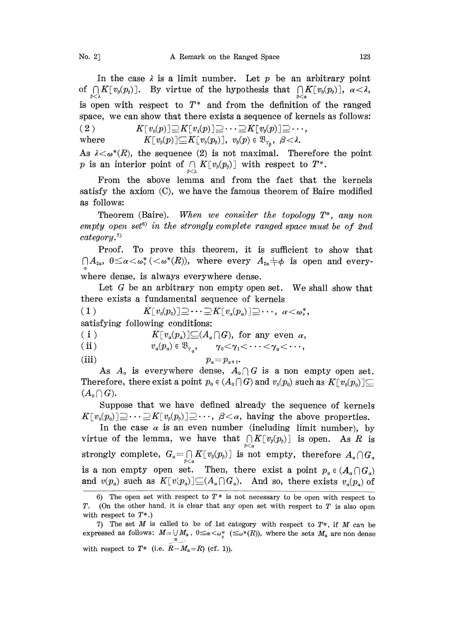In the case  $\lambda$  is a limit number. Let p be an arbitrary point of  $\bigcap_{\beta\leq\lambda}K[v_{\beta}(p_{\beta})]$ . By virtue of the hypothesis that  $\bigcap_{\beta\leq\alpha}K[v_{\beta}(p_{\beta})]$ ,  $\alpha<\lambda$ , is open with respect to  $T^*$  and from the definition of the ranged space, we can show that there exists a sequence of kernels as follows:

 $X[v_0(p)] \supseteq K[v_1(p)] \supseteq \cdots \supseteq K[v_k(p)] \supseteq \cdots,$ where  $K[v_{\beta}(p)] \subseteq K[v_{\beta}(p_{\beta})], v_{\beta}(p) \in \mathfrak{B}_{r_{\beta}}, \ \beta < \lambda.$ 

As  $\lambda < \omega^*(R)$ , the sequence (2) is not maximal. Therefore the point p is an interior point of  $\bigcap_{\beta<\lambda} K[v_{\beta}(p_{\beta})]$  with respect to  $T^*$ .

From the above lemma and from the fact that the kernels satisfy the axiom (C), we have the famous theorem of Baire modified as follows:

Theorem (Baire). When we consider the topology  $T^*$ , any non  $empty\ open\ set^6$  in the strongly complete ranged space must be of 2nd category.

Proof. To prove this theorem, it is sufficient to show hat  $\bigcap A_{2\alpha}, 0 \leq \alpha < \omega^* \left( \langle \omega^*(R) \rangle, \right)$  where every  $A_{2\alpha} \neq \phi$  is open and everywhere dense, is always everywhere dense.

Let  $G$  be an arbitrary non empty open set. We shall show that there exists a fundamental sequence of kernels

( 1 )  $K[v_0(p_0)] \supseteq \cdots \supseteq K[v_a(p_a)] \supseteq \cdots, \ \alpha < \omega_\nu^*,$ satisfying following conditions:

(i)  $K[v_a(p_a)] \subseteq (A_a \cap G)$ , for any even  $\alpha$ ,<br>
(ii)  $v_a(p_a) \in \mathfrak{B}_{r_a}, \quad \gamma_0 < \gamma_1 < \cdots < \gamma_a < \cdots$ ,

$$
v_{\alpha}(p_{\alpha}) \in \mathfrak{B}_{r_{\alpha}}, \qquad \gamma_0 < \gamma_1 < \cdots < \gamma_{\alpha} < \cdots,
$$

$$
p_a = p_{a+1}.
$$

As  $A_0$  is everywhere dense,  $A_0 \cap G$  is a non empty open set. Therefore, there exist a point  $p_0 \in (A_0 \cap G)$  and  $v_0(p_0)$  such as  $K[v_0(p_0)] \subseteq$  $(A_0 \cap G)$ .

Suppose that we have defined already the sequence of kernels  $K[v_0(p_0)] \supseteq \cdots \supseteq K[v_s(p_s)] \supseteq \cdots$ ,  $\beta < \alpha$ , having the above properties.

In the case  $\alpha$  is an even number (including limit number), by virtue of the lemma, we have that  $\bigcap_{\beta<\alpha} K[v_{\beta}(p_{\beta})]$  is open. As R is strongly complete,  $G_a = \bigcap_{\beta < a} K[v_\beta(p_\beta)]$  is not empty, therefore  $A_a \cap G_a$ is a non empty open set. Then, there exist a point  $p_a \in (A_a \cap G_a)$ and  $v(p_a)$  such as  $K[v(p_a)] \subseteq (A_\alpha \cap G_\alpha)$ . And so, there exists  $v_a(p_a)$  of

<sup>6)</sup> The open set with respect to  $T^*$  is not necessary to be open with respect to T. (On the other hand, it is clear that any open set with respect to  $T$  is also open with respect to  $T^*$ .

<sup>7)</sup> The set  $M$  is called to be of 1st category with respect to  $T^*$ , if  $M$  can be expressed as follows:  $M=\bigcup_{\alpha} M_{\alpha}$ ,  $0\leq \alpha<\omega_{\mu}^*$  ( $\leq \omega^*(R)$ ), where the sets  $M_{\alpha}$  are non dense with respect to  $T^*$  (i.e.  $R-M_{\alpha}=R$ ) (cf. 1)).